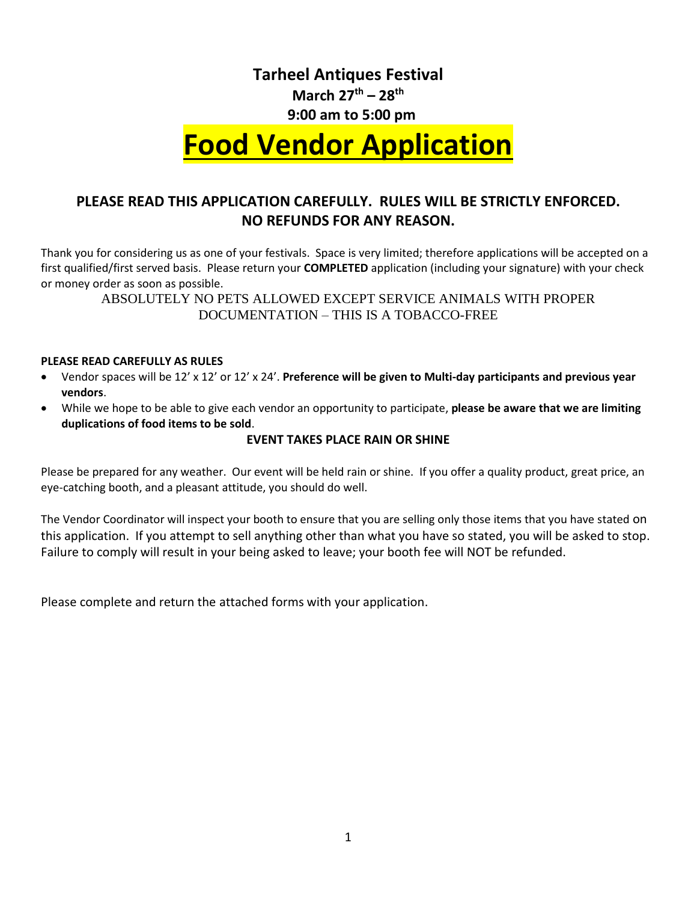## **Tarheel Antiques Festival March 27th – 28 th**

## **9:00 am to 5:00 pm**

# **Food Vendor Application**

## **PLEASE READ THIS APPLICATION CAREFULLY. RULES WILL BE STRICTLY ENFORCED. NO REFUNDS FOR ANY REASON.**

Thank you for considering us as one of your festivals. Space is very limited; therefore applications will be accepted on a first qualified/first served basis. Please return your **COMPLETED** application (including your signature) with your check or money order as soon as possible.

ABSOLUTELY NO PETS ALLOWED EXCEPT SERVICE ANIMALS WITH PROPER DOCUMENTATION – THIS IS A TOBACCO-FREE

#### **PLEASE READ CAREFULLY AS RULES**

- Vendor spaces will be 12' x 12' or 12' x 24'. **Preference will be given to Multi-day participants and previous year vendors**.
- While we hope to be able to give each vendor an opportunity to participate, **please be aware that we are limiting duplications of food items to be sold**.

#### **EVENT TAKES PLACE RAIN OR SHINE**

Please be prepared for any weather. Our event will be held rain or shine. If you offer a quality product, great price, an eye-catching booth, and a pleasant attitude, you should do well.

The Vendor Coordinator will inspect your booth to ensure that you are selling only those items that you have stated on this application. If you attempt to sell anything other than what you have so stated, you will be asked to stop. Failure to comply will result in your being asked to leave; your booth fee will NOT be refunded.

Please complete and return the attached forms with your application.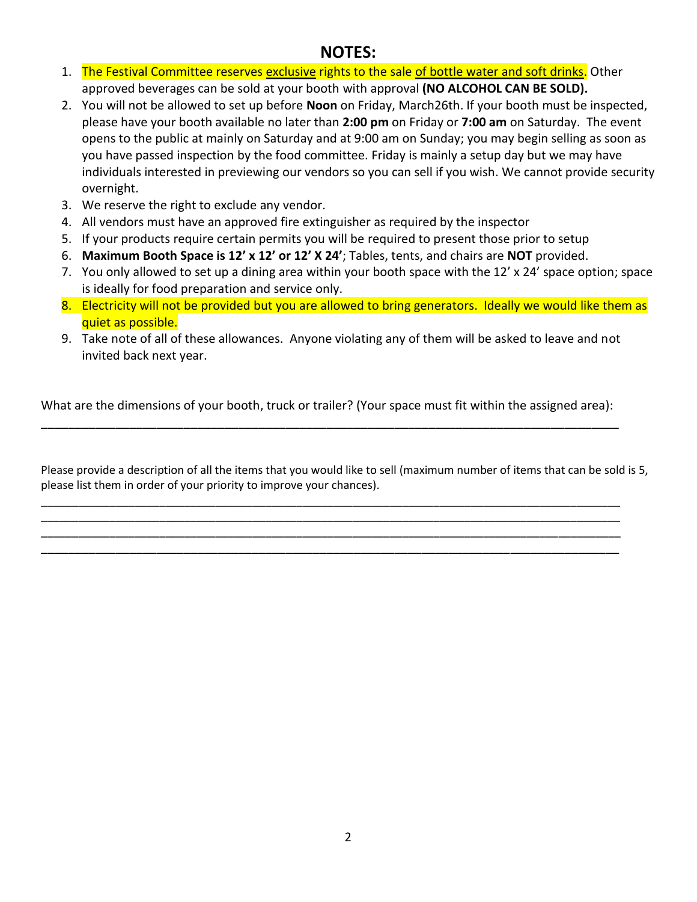## **NOTES:**

- 1. The Festival Committee reserves exclusive rights to the sale of bottle water and soft drinks. Other approved beverages can be sold at your booth with approval **(NO ALCOHOL CAN BE SOLD).**
- 2. You will not be allowed to set up before **Noon** on Friday, March26th. If your booth must be inspected, please have your booth available no later than **2:00 pm** on Friday or **7:00 am** on Saturday. The event opens to the public at mainly on Saturday and at 9:00 am on Sunday; you may begin selling as soon as you have passed inspection by the food committee. Friday is mainly a setup day but we may have individuals interested in previewing our vendors so you can sell if you wish. We cannot provide security overnight.
- 3. We reserve the right to exclude any vendor.
- 4. All vendors must have an approved fire extinguisher as required by the inspector
- 5. If your products require certain permits you will be required to present those prior to setup
- 6. **Maximum Booth Space is 12' x 12' or 12' X 24'**; Tables, tents, and chairs are **NOT** provided.
- 7. You only allowed to set up a dining area within your booth space with the 12' x 24' space option; space is ideally for food preparation and service only.
- 8. Electricity will not be provided but you are allowed to bring generators. Ideally we would like them as quiet as possible.
- 9. Take note of all of these allowances. Anyone violating any of them will be asked to leave and not invited back next year.

What are the dimensions of your booth, truck or trailer? (Your space must fit within the assigned area): \_\_\_\_\_\_\_\_\_\_\_\_\_\_\_\_\_\_\_\_\_\_\_\_\_\_\_\_\_\_\_\_\_\_\_\_\_\_\_\_\_\_\_\_\_\_\_\_\_\_\_\_\_\_\_\_\_\_\_\_\_\_\_\_\_\_\_\_\_\_\_\_\_\_\_\_\_\_\_\_\_\_\_\_\_

Please provide a description of all the items that you would like to sell (maximum number of items that can be sold is 5, please list them in order of your priority to improve your chances).

\_\_\_\_\_\_\_\_\_\_\_\_\_\_\_\_\_\_\_\_\_\_\_\_\_\_\_\_\_\_\_\_\_\_\_\_\_\_\_\_\_\_\_\_\_\_\_\_\_\_\_\_\_\_\_\_\_\_\_\_\_\_\_\_\_\_\_\_\_\_\_\_\_\_\_\_\_\_\_\_\_\_\_\_\_\_\_\_\_\_\_\_\_ \_\_\_\_\_\_\_\_\_\_\_\_\_\_\_\_\_\_\_\_\_\_\_\_\_\_\_\_\_\_\_\_\_\_\_\_\_\_\_\_\_\_\_\_\_\_\_\_\_\_\_\_\_\_\_\_\_\_\_\_\_\_\_\_\_\_\_\_\_\_\_\_\_\_\_\_\_\_\_\_\_\_\_\_\_\_\_\_\_\_\_\_\_ \_\_\_\_\_\_\_\_\_\_\_\_\_\_\_\_\_\_\_\_\_\_\_\_\_\_\_\_\_\_\_\_\_\_\_\_\_\_\_\_\_\_\_\_\_\_\_\_\_\_\_\_\_\_\_\_\_\_\_\_\_\_\_\_\_\_\_\_\_\_\_\_\_\_\_\_\_\_\_\_\_\_\_\_\_\_\_\_\_\_\_\_\_ \_\_\_\_\_\_\_\_\_\_\_\_\_\_\_\_\_\_\_\_\_\_\_\_\_\_\_\_\_\_\_\_\_\_\_\_\_\_\_\_\_\_\_\_\_\_\_\_\_\_\_\_\_\_\_\_\_\_\_\_\_\_\_\_\_\_\_\_\_\_\_\_\_\_\_\_\_\_\_\_\_\_\_\_\_